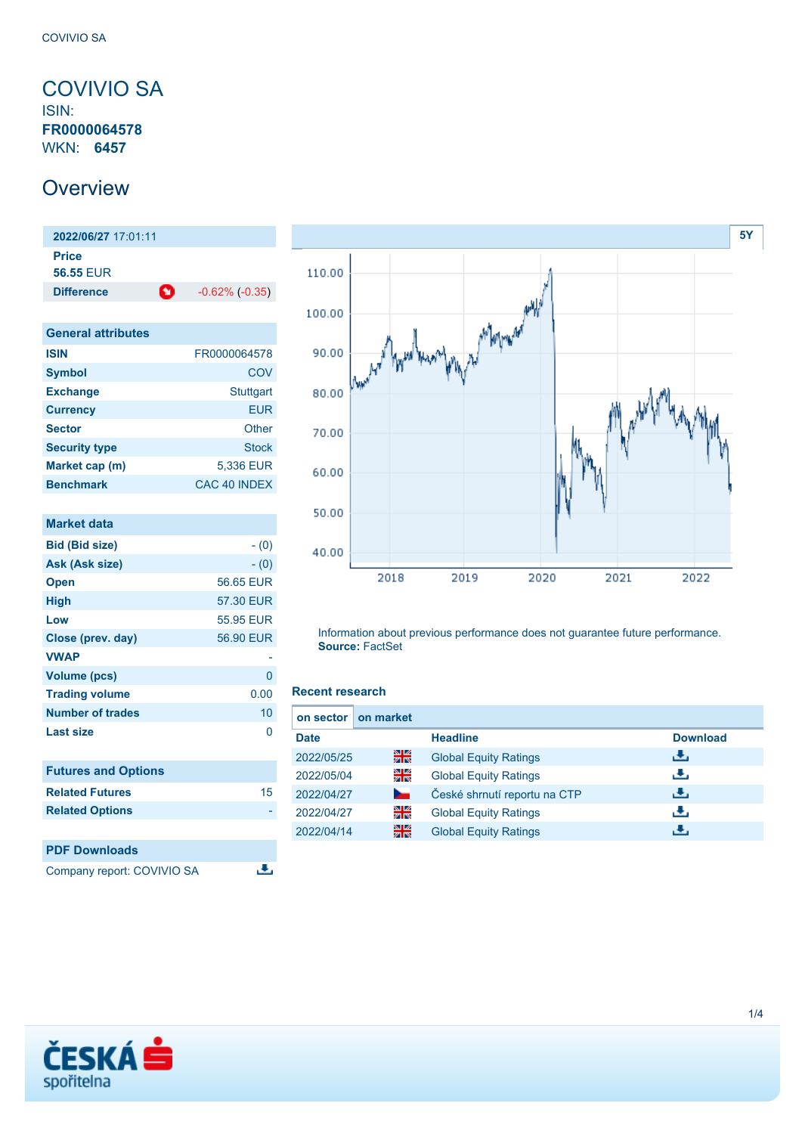### <span id="page-0-0"></span>COVIVIO SA ISIN: **FR0000064578** WKN: **6457**

## **Overview**

**2022/06/27** 17:01:11 **Price 56.55** EUR **Difference 1** -0.62% (-0.35)

| <b>General attributes</b> |                  |
|---------------------------|------------------|
| <b>ISIN</b>               | FR0000064578     |
| <b>Symbol</b>             | COV              |
| <b>Exchange</b>           | <b>Stuttgart</b> |
| <b>Currency</b>           | <b>EUR</b>       |
| <b>Sector</b>             | Other            |
| <b>Security type</b>      | <b>Stock</b>     |
| Market cap (m)            | 5,336 EUR        |
| <b>Benchmark</b>          | CAC 40 INDEX     |

| <b>Market data</b>         |           |
|----------------------------|-----------|
| <b>Bid (Bid size)</b>      | $- (0)$   |
| Ask (Ask size)             | $- (0)$   |
| <b>Open</b>                | 56.65 EUR |
| <b>High</b>                | 57.30 EUR |
| Low                        | 55.95 EUR |
| Close (prev. day)          | 56.90 EUR |
| <b>VWAP</b>                |           |
| <b>Volume (pcs)</b>        | 0         |
| <b>Trading volume</b>      | 0.00      |
| <b>Number of trades</b>    | 10        |
| Last size                  | 0         |
|                            |           |
| <b>Futures and Options</b> |           |
| <b>Related Futures</b>     | 15        |
| <b>Related Options</b>     |           |
|                            |           |
| <b>PDF Downloads</b>       |           |
| Company report: COVIVIO SA |           |



Information about previous performance does not guarantee future performance. **Source:** FactSet

### **Recent research**

| on sector I | on market |                              |                 |
|-------------|-----------|------------------------------|-----------------|
| <b>Date</b> |           | <b>Headline</b>              | <b>Download</b> |
| 2022/05/25  | 을         | <b>Global Equity Ratings</b> | æ.              |
| 2022/05/04  | 읡         | <b>Global Equity Ratings</b> | æ,              |
| 2022/04/27  | ►         | České shrnutí reportu na CTP | đ۴,             |
| 2022/04/27  | 읡         | <b>Global Equity Ratings</b> | æ,              |
| 2022/04/14  | 을         | <b>Global Equity Ratings</b> | ٠₩.             |

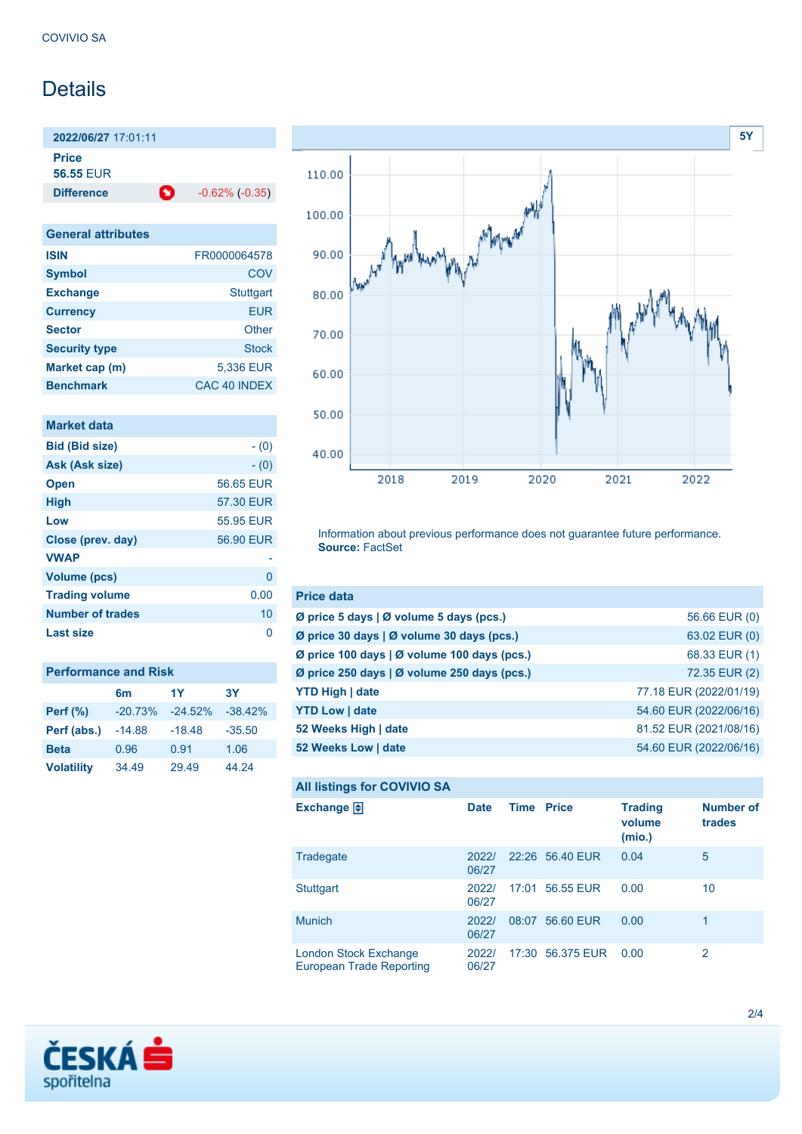# **Details**

**2022/06/27** 17:01:11 **Price**

**56.55** EUR

**Difference 1** -0.62% (-0.35)

| <b>General attributes</b> |                  |
|---------------------------|------------------|
| <b>ISIN</b>               | FR0000064578     |
| <b>Symbol</b>             | COV              |
| <b>Exchange</b>           | <b>Stuttgart</b> |
| <b>Currency</b>           | <b>EUR</b>       |
| <b>Sector</b>             | Other            |
| <b>Security type</b>      | Stock            |
| Market cap (m)            | 5,336 EUR        |
| <b>Benchmark</b>          | CAC 40 INDEX     |

| Market data             |           |
|-------------------------|-----------|
| <b>Bid (Bid size)</b>   | $- (0)$   |
| Ask (Ask size)          | $- (0)$   |
| <b>Open</b>             | 56.65 EUR |
| <b>High</b>             | 57.30 EUR |
| Low                     | 55.95 EUR |
| Close (prev. day)       | 56.90 EUR |
| <b>VWAP</b>             |           |
| <b>Volume (pcs)</b>     | 0         |
| <b>Trading volume</b>   | 0.00      |
| <b>Number of trades</b> | 10        |
| <b>Last size</b>        | n         |

| <b>Performance and Risk</b> |           |            |           |
|-----------------------------|-----------|------------|-----------|
|                             | 6m        | 1Y         | 3Υ        |
| <b>Perf</b> (%)             | $-20.73%$ | $-24.52\%$ | $-38.42%$ |
| Perf (abs.)                 | $-14.88$  | $-18.48$   | $-35.50$  |
| <b>Beta</b>                 | 0.96      | 0.91       | 1.06      |
| <b>Volatility</b>           | 34.49     | 29.49      | 44.24     |



Information about previous performance does not guarantee future performance. **Source:** FactSet

| <b>Price data</b>                           |                        |
|---------------------------------------------|------------------------|
| Ø price 5 days   Ø volume 5 days (pcs.)     | 56.66 EUR (0)          |
| Ø price 30 days   Ø volume 30 days (pcs.)   | 63.02 EUR (0)          |
| Ø price 100 days   Ø volume 100 days (pcs.) | 68.33 EUR (1)          |
| Ø price 250 days   Ø volume 250 days (pcs.) | 72.35 EUR (2)          |
| <b>YTD High   date</b>                      | 77.18 EUR (2022/01/19) |
| <b>YTD Low   date</b>                       | 54.60 EUR (2022/06/16) |
| 52 Weeks High   date                        | 81.52 EUR (2021/08/16) |
| 52 Weeks Low   date                         | 54.60 EUR (2022/06/16) |

### **All listings for COVIVIO SA**

| ີ                                                        |                |                   |                  |                                    |                            |
|----------------------------------------------------------|----------------|-------------------|------------------|------------------------------------|----------------------------|
| Exchange $\Box$                                          | <b>Date</b>    | <b>Time Price</b> |                  | <b>Trading</b><br>volume<br>(mio.) | <b>Number of</b><br>trades |
| Tradegate                                                | 20221<br>06/27 |                   | 22:26 56.40 EUR  | 0.04                               | 5                          |
| <b>Stuttgart</b>                                         | 2022/<br>06/27 |                   | 17:01 56.55 EUR  | 0.00                               | 10                         |
| <b>Munich</b>                                            | 2022/<br>06/27 | 08:07             | 56.60 EUR        | 0.00                               | 1                          |
| London Stock Exchange<br><b>European Trade Reporting</b> | 2022/<br>06/27 |                   | 17:30 56.375 EUR | 0.00                               | 2                          |

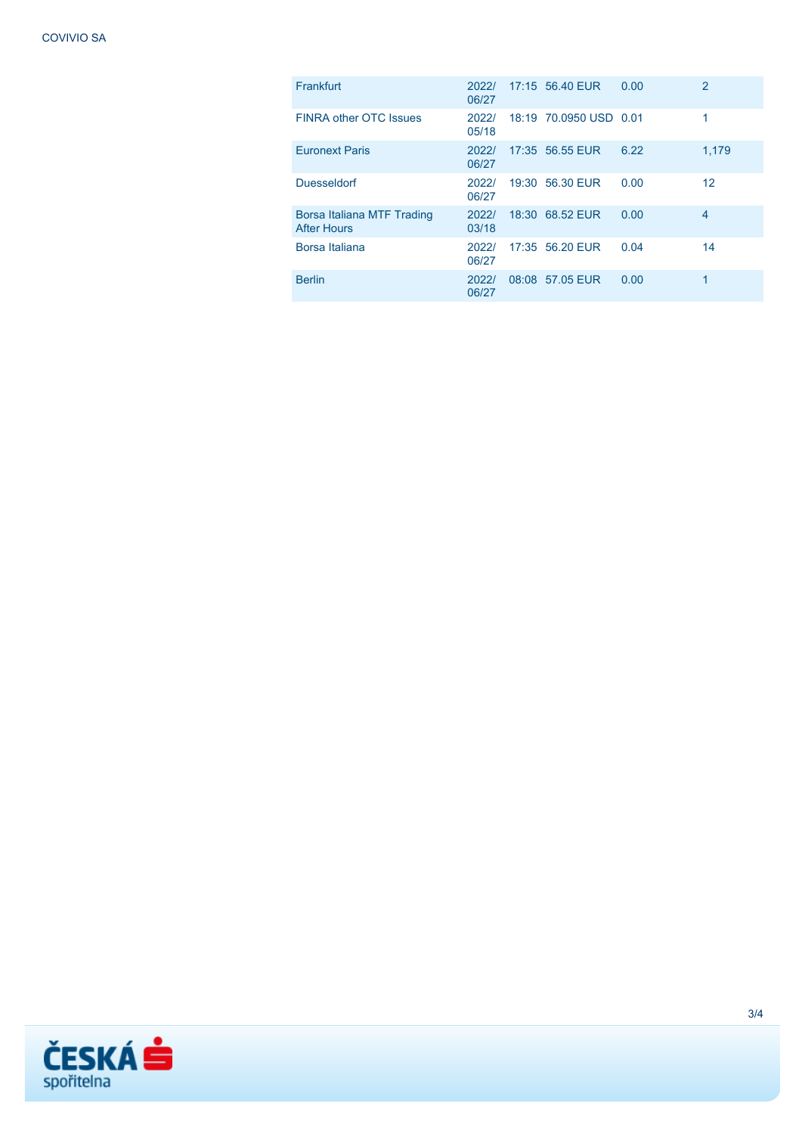| Frankfurt                                        | 2022/<br>06/27 | 17:15 56.40 EUR        | 0.00 | $\overline{2}$ |
|--------------------------------------------------|----------------|------------------------|------|----------------|
| <b>FINRA other OTC Issues</b>                    | 2022/<br>05/18 | 18:19 70.0950 USD 0.01 |      | 1              |
| <b>Euronext Paris</b>                            | 2022/<br>06/27 | 17:35 56.55 EUR        | 6.22 | 1,179          |
| <b>Duesseldorf</b>                               | 2022/<br>06/27 | 19:30 56.30 EUR        | 0.00 | 12             |
| Borsa Italiana MTF Trading<br><b>After Hours</b> | 2022/<br>03/18 | 18:30 68.52 EUR        | 0.00 | 4              |
| Borsa Italiana                                   | 2022/<br>06/27 | 17:35 56.20 EUR        | 0.04 | 14             |
| <b>Berlin</b>                                    | 2022/<br>06/27 | 08:08 57.05 EUR        | 0.00 | 1              |